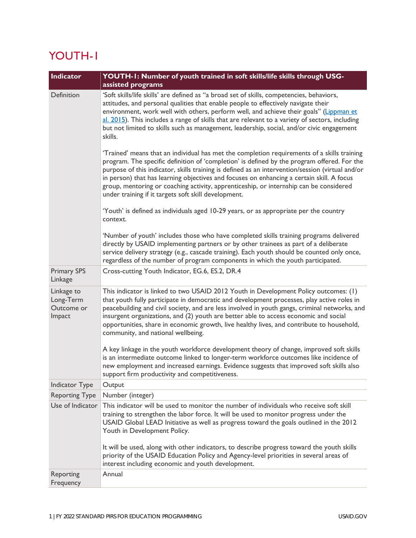## YOUTH-1

| <b>Indicator</b>                                | YOUTH-1: Number of youth trained in soft skills/life skills through USG-                                                                                                                                                                                                                                                                                                                                                                                                                                                                      |
|-------------------------------------------------|-----------------------------------------------------------------------------------------------------------------------------------------------------------------------------------------------------------------------------------------------------------------------------------------------------------------------------------------------------------------------------------------------------------------------------------------------------------------------------------------------------------------------------------------------|
|                                                 | assisted programs                                                                                                                                                                                                                                                                                                                                                                                                                                                                                                                             |
| Definition                                      | 'Soft skills/life skills' are defined as "a broad set of skills, competencies, behaviors,<br>attitudes, and personal qualities that enable people to effectively navigate their<br>environment, work well with others, perform well, and achieve their goals" (Lippman et<br>al. 2015). This includes a range of skills that are relevant to a variety of sectors, including<br>but not limited to skills such as management, leadership, social, and/or civic engagement<br>skills.                                                          |
|                                                 | 'Trained' means that an individual has met the completion requirements of a skills training<br>program. The specific definition of 'completion' is defined by the program offered. For the<br>purpose of this indicator, skills training is defined as an intervention/session (virtual and/or<br>in person) that has learning objectives and focuses on enhancing a certain skill. A focus<br>group, mentoring or coaching activity, apprenticeship, or internship can be considered<br>under training if it targets soft skill development. |
|                                                 | 'Youth' is defined as individuals aged 10-29 years, or as appropriate per the country<br>context.                                                                                                                                                                                                                                                                                                                                                                                                                                             |
|                                                 | 'Number of youth' includes those who have completed skills training programs delivered<br>directly by USAID implementing partners or by other trainees as part of a deliberate<br>service delivery strategy (e.g., cascade training). Each youth should be counted only once,<br>regardless of the number of program components in which the youth participated.                                                                                                                                                                              |
| <b>Primary SPS</b><br>Linkage                   | Cross-cutting Youth Indicator, EG.6, ES.2, DR.4                                                                                                                                                                                                                                                                                                                                                                                                                                                                                               |
| Linkage to<br>Long-Term<br>Outcome or<br>Impact | This indicator is linked to two USAID 2012 Youth in Development Policy outcomes: (1)<br>that youth fully participate in democratic and development processes, play active roles in<br>peacebuilding and civil society, and are less involved in youth gangs, criminal networks, and<br>insurgent organizations, and (2) youth are better able to access economic and social<br>opportunities, share in economic growth, live healthy lives, and contribute to household,<br>community, and national wellbeing.                                |
|                                                 | A key linkage in the youth workforce development theory of change, improved soft skills<br>is an intermediate outcome linked to longer-term workforce outcomes like incidence of<br>new employment and increased earnings. Evidence suggests that improved soft skills also<br>support firm productivity and competitiveness.                                                                                                                                                                                                                 |
| Indicator Type                                  | Output                                                                                                                                                                                                                                                                                                                                                                                                                                                                                                                                        |
| <b>Reporting Type</b>                           | Number (integer)                                                                                                                                                                                                                                                                                                                                                                                                                                                                                                                              |
| Use of Indicator                                | This indicator will be used to monitor the number of individuals who receive soft skill<br>training to strengthen the labor force. It will be used to monitor progress under the<br>USAID Global LEAD Initiative as well as progress toward the goals outlined in the 2012<br>Youth in Development Policy.                                                                                                                                                                                                                                    |
|                                                 | It will be used, along with other indicators, to describe progress toward the youth skills<br>priority of the USAID Education Policy and Agency-level priorities in several areas of<br>interest including economic and youth development.                                                                                                                                                                                                                                                                                                    |
| Reporting<br>Frequency                          | Annual                                                                                                                                                                                                                                                                                                                                                                                                                                                                                                                                        |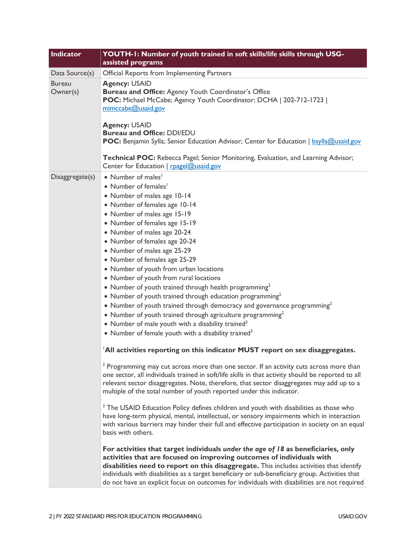| Indicator                 | YOUTH-1: Number of youth trained in soft skills/life skills through USG-<br>assisted programs                                                                                                                                                                                                                                                                                                                                                                                                                                                                                                                                                                                                                                                                                                                                                                                                                                                                                                                                                                                                                                                                                                                                                                                                                                                                                                                                                                                                                                                                                                                                                                                                                                                                                                                                                                                                                                    |
|---------------------------|----------------------------------------------------------------------------------------------------------------------------------------------------------------------------------------------------------------------------------------------------------------------------------------------------------------------------------------------------------------------------------------------------------------------------------------------------------------------------------------------------------------------------------------------------------------------------------------------------------------------------------------------------------------------------------------------------------------------------------------------------------------------------------------------------------------------------------------------------------------------------------------------------------------------------------------------------------------------------------------------------------------------------------------------------------------------------------------------------------------------------------------------------------------------------------------------------------------------------------------------------------------------------------------------------------------------------------------------------------------------------------------------------------------------------------------------------------------------------------------------------------------------------------------------------------------------------------------------------------------------------------------------------------------------------------------------------------------------------------------------------------------------------------------------------------------------------------------------------------------------------------------------------------------------------------|
| Data Source(s)            | Official Reports from Implementing Partners                                                                                                                                                                                                                                                                                                                                                                                                                                                                                                                                                                                                                                                                                                                                                                                                                                                                                                                                                                                                                                                                                                                                                                                                                                                                                                                                                                                                                                                                                                                                                                                                                                                                                                                                                                                                                                                                                      |
| <b>Bureau</b><br>Owner(s) | <b>Agency: USAID</b><br>Bureau and Office: Agency Youth Coordinator's Office<br>POC: Michael McCabe; Agency Youth Coordinator; DCHA   202-712-1723  <br>mimccabe@usaid.gov<br><b>Agency: USAID</b><br><b>Bureau and Office: DDI/EDU</b><br><b>POC:</b> Benjamin Sylla; Senior Education Advisor; Center for Education   bsylla@usaid.gov<br>Technical POC: Rebecca Pagel; Senior Monitoring, Evaluation, and Learning Advisor;<br>Center for Education   rpagel@usaid.gov                                                                                                                                                                                                                                                                                                                                                                                                                                                                                                                                                                                                                                                                                                                                                                                                                                                                                                                                                                                                                                                                                                                                                                                                                                                                                                                                                                                                                                                        |
| Disaggregate(s)           | • Number of males <sup>1</sup><br>• Number of females <sup>1</sup><br>• Number of males age 10-14<br>• Number of females age 10-14<br>• Number of males age 15-19<br>• Number of females age 15-19<br>• Number of males age 20-24<br>• Number of females age 20-24<br>• Number of males age 25-29<br>• Number of females age 25-29<br>• Number of youth from urban locations<br>• Number of youth from rural locations<br>• Number of youth trained through health programming <sup>2</sup><br>• Number of youth trained through education programming <sup>2</sup><br>• Number of youth trained through democracy and governance programming <sup>2</sup><br>• Number of youth trained through agriculture programming <sup>2</sup><br>• Number of male youth with a disability trained <sup>3</sup><br>• Number of female youth with a disability trained <sup>3</sup><br>All activities reporting on this indicator MUST report on sex disaggregates.<br><sup>2</sup> Programming may cut across more than one sector. If an activity cuts across more than<br>one sector, all individuals trained in soft/life skills in that activity should be reported to all<br>relevant sector disaggregates. Note, therefore, that sector disaggregates may add up to a<br>multiple of the total number of youth reported under this indicator.<br><sup>3</sup> The USAID Education Policy defines children and youth with disabilities as those who<br>have long-term physical, mental, intellectual, or sensory impairments which in interaction<br>with various barriers may hinder their full and effective participation in society on an equal<br>basis with others.<br>For activities that target individuals under the age of $18$ as beneficiaries, only<br>activities that are focused on improving outcomes of individuals with<br>disabilities need to report on this disaggregate. This includes activities that identify |
|                           | individuals with disabilities as a target beneficiary or sub-beneficiary group. Activities that<br>do not have an explicit focus on outcomes for individuals with disabilities are not required                                                                                                                                                                                                                                                                                                                                                                                                                                                                                                                                                                                                                                                                                                                                                                                                                                                                                                                                                                                                                                                                                                                                                                                                                                                                                                                                                                                                                                                                                                                                                                                                                                                                                                                                  |